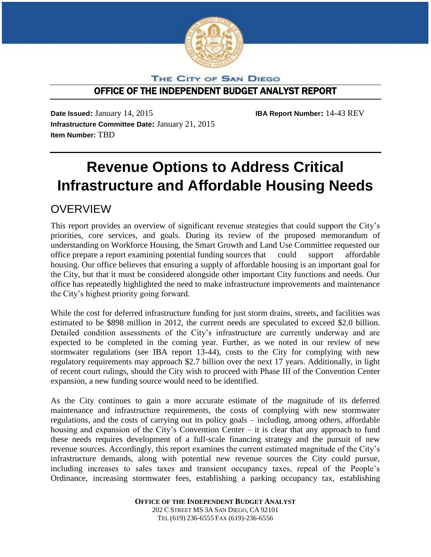

THE CITY OF SAN DIEGO

# OFFICE OF THE INDEPENDENT BUDGET ANALYST REPORT

**Date Issued:** January 14, 2015 **IBA Report Number:** 14-43 REV **Infrastructure Committee Date:** January 21, 2015 **Item Number:** TBD

# **Revenue Options to Address Critical Infrastructure and Affordable Housing Needs**

# **OVERVIEW**

This report provides an overview of significant revenue strategies that could support the City's priorities, core services, and goals. During its review of the proposed memorandum of understanding on Workforce Housing, the Smart Growth and Land Use Committee requested our office prepare a report examining potential funding sources that could support affordable housing. Our office believes that ensuring a supply of affordable housing is an important goal for the City, but that it must be considered alongside other important City functions and needs. Our office has repeatedly highlighted the need to make infrastructure improvements and maintenance the City's highest priority going forward.

While the cost for deferred infrastructure funding for just storm drains, streets, and facilities was estimated to be \$898 million in 2012, the current needs are speculated to exceed \$2.0 billion. Detailed condition assessments of the City's infrastructure are currently underway and are expected to be completed in the coming year. Further, as we noted in our review of new stormwater regulations (see IBA report 13-44), costs to the City for complying with new regulatory requirements may approach \$2.7 billion over the next 17 years. Additionally, in light of recent court rulings, should the City wish to proceed with Phase III of the Convention Center expansion, a new funding source would need to be identified.

As the City continues to gain a more accurate estimate of the magnitude of its deferred maintenance and infrastructure requirements, the costs of complying with new stormwater regulations, and the costs of carrying out its policy goals – including, among others, affordable housing and expansion of the City's Convention Center – it is clear that any approach to fund these needs requires development of a full-scale financing strategy and the pursuit of new revenue sources. Accordingly, this report examines the current estimated magnitude of the City's infrastructure demands, along with potential new revenue sources the City could pursue, including increases to sales taxes and transient occupancy taxes, repeal of the People's Ordinance, increasing stormwater fees, establishing a parking occupancy tax, establishing

> **OFFICE OF THE INDEPENDENT BUDGET ANALYST** 202 C STREET MS 3A SAN DIEGO, CA 92101 TEL (619) 236-6555 FAX (619)-236-6556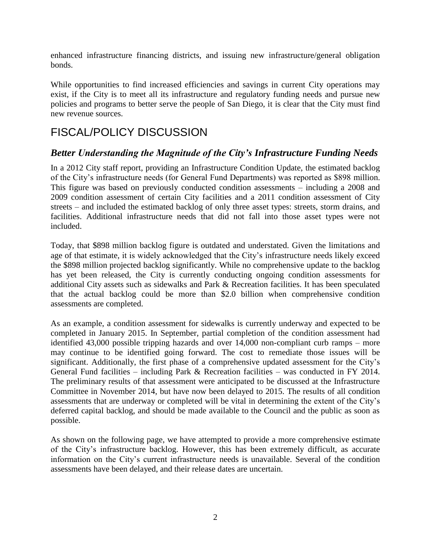enhanced infrastructure financing districts, and issuing new infrastructure/general obligation bonds.

While opportunities to find increased efficiencies and savings in current City operations may exist, if the City is to meet all its infrastructure and regulatory funding needs and pursue new policies and programs to better serve the people of San Diego, it is clear that the City must find new revenue sources.

# FISCAL/POLICY DISCUSSION

# *Better Understanding the Magnitude of the City's Infrastructure Funding Needs*

In a 2012 City staff report, providing an Infrastructure Condition Update, the estimated backlog of the City's infrastructure needs (for General Fund Departments) was reported as \$898 million. This figure was based on previously conducted condition assessments – including a 2008 and 2009 condition assessment of certain City facilities and a 2011 condition assessment of City streets – and included the estimated backlog of only three asset types: streets, storm drains, and facilities. Additional infrastructure needs that did not fall into those asset types were not included.

Today, that \$898 million backlog figure is outdated and understated. Given the limitations and age of that estimate, it is widely acknowledged that the City's infrastructure needs likely exceed the \$898 million projected backlog significantly. While no comprehensive update to the backlog has yet been released, the City is currently conducting ongoing condition assessments for additional City assets such as sidewalks and Park & Recreation facilities. It has been speculated that the actual backlog could be more than \$2.0 billion when comprehensive condition assessments are completed.

As an example, a condition assessment for sidewalks is currently underway and expected to be completed in January 2015. In September, partial completion of the condition assessment had identified 43,000 possible tripping hazards and over 14,000 non-compliant curb ramps – more may continue to be identified going forward. The cost to remediate those issues will be significant. Additionally, the first phase of a comprehensive updated assessment for the City's General Fund facilities – including Park & Recreation facilities – was conducted in FY 2014. The preliminary results of that assessment were anticipated to be discussed at the Infrastructure Committee in November 2014, but have now been delayed to 2015. The results of all condition assessments that are underway or completed will be vital in determining the extent of the City's deferred capital backlog, and should be made available to the Council and the public as soon as possible.

As shown on the following page, we have attempted to provide a more comprehensive estimate of the City's infrastructure backlog. However, this has been extremely difficult, as accurate information on the City's current infrastructure needs is unavailable. Several of the condition assessments have been delayed, and their release dates are uncertain.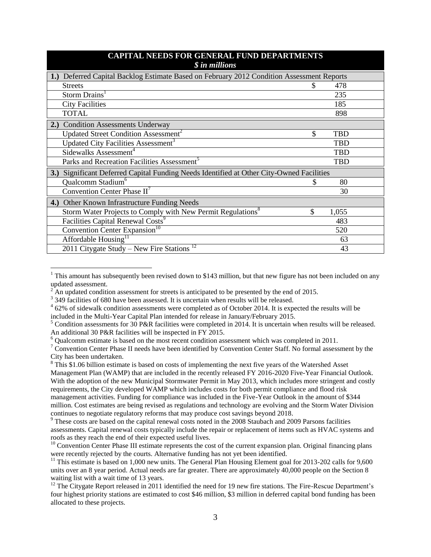| <b>CAPITAL NEEDS FOR GENERAL FUND DEPARTMENTS</b><br>$$$ in millions                      |    |            |  |
|-------------------------------------------------------------------------------------------|----|------------|--|
| 1.) Deferred Capital Backlog Estimate Based on February 2012 Condition Assessment Reports |    |            |  |
| <b>Streets</b>                                                                            |    | 478        |  |
| Storm Drains <sup>1</sup>                                                                 |    | 235        |  |
| <b>City Facilities</b>                                                                    |    | 185        |  |
| <b>TOTAL</b>                                                                              |    | 898        |  |
| 2.) Condition Assessments Underway                                                        |    |            |  |
| Updated Street Condition Assessment <sup>2</sup>                                          | \$ | <b>TBD</b> |  |
| Updated City Facilities Assessment <sup>3</sup>                                           |    | <b>TBD</b> |  |
| Sidewalks Assessment <sup>4</sup>                                                         |    | <b>TBD</b> |  |
| Parks and Recreation Facilities Assessment <sup>5</sup>                                   |    | <b>TBD</b> |  |
| 3.) Significant Deferred Capital Funding Needs Identified at Other City-Owned Facilities  |    |            |  |
| Qualcomm Stadium <sup>6</sup>                                                             | S  | 80         |  |
| Convention Center Phase $II^7$                                                            |    | 30         |  |
| 4.) Other Known Infrastructure Funding Needs                                              |    |            |  |
| Storm Water Projects to Comply with New Permit Regulations <sup>8</sup>                   | \$ | 1,055      |  |
| Facilities Capital Renewal Costs <sup>9</sup>                                             |    | 483        |  |
| Convention Center Expansion <sup>10</sup>                                                 |    | 520        |  |
| Affordable Housing <sup>11</sup>                                                          |    | 63         |  |
| 2011 Citygate Study – New Fire Stations <sup>12</sup>                                     |    | 43         |  |

<sup>&</sup>lt;sup>1</sup> This amount has subsequently been revised down to \$143 million, but that new figure has not been included on any updated assessment.

 $\overline{a}$ 

An updated condition assessment for streets is anticipated to be presented by the end of 2015.

<sup>&</sup>lt;sup>3</sup> 349 facilities of 680 have been assessed. It is uncertain when results will be released.

<sup>&</sup>lt;sup>4</sup> 62% of sidewalk condition assessments were completed as of October 2014. It is expected the results will be included in the Multi-Year Capital Plan intended for release in January/February 2015.

<sup>&</sup>lt;sup>5</sup> Condition assessments for 30 P&R facilities were completed in 2014. It is uncertain when results will be released. An additional 30 P&R facilities will be inspected in FY 2015.

<sup>&</sup>lt;sup>6</sup> Qualcomm estimate is based on the most recent condition assessment which was completed in 2011.

<sup>&</sup>lt;sup>7</sup> Convention Center Phase II needs have been identified by Convention Center Staff. No formal assessment by the City has been undertaken.

 $8$  This \$1.06 billion estimate is based on costs of implementing the next five years of the Watershed Asset Management Plan (WAMP) that are included in the recently released FY 2016-2020 Five-Year Financial Outlook. With the adoption of the new Municipal Stormwater Permit in May 2013, which includes more stringent and costly requirements, the City developed WAMP which includes costs for both permit compliance and flood risk management activities. Funding for compliance was included in the Five-Year Outlook in the amount of \$344 million. Cost estimates are being revised as regulations and technology are evolving and the Storm Water Division continues to negotiate regulatory reforms that may produce cost savings beyond 2018.

<sup>&</sup>lt;sup>9</sup> These costs are based on the capital renewal costs noted in the 2008 Staubach and 2009 Parsons facilities assessments. Capital renewal costs typically include the repair or replacement of items such as HVAC systems and roofs as they reach the end of their expected useful lives.

<sup>&</sup>lt;sup>10</sup> Convention Center Phase III estimate represents the cost of the current expansion plan. Original financing plans were recently rejected by the courts. Alternative funding has not yet been identified.

<sup>&</sup>lt;sup>11</sup> This estimate is based on 1,000 new units. The General Plan Housing Element goal for 2013-202 calls for  $9,600$ units over an 8 year period. Actual needs are far greater. There are approximately 40,000 people on the Section 8 waiting list with a wait time of 13 years.

<sup>&</sup>lt;sup>12</sup> The Citygate Report released in 2011 identified the need for 19 new fire stations. The Fire-Rescue Department's four highest priority stations are estimated to cost \$46 million, \$3 million in deferred capital bond funding has been allocated to these projects.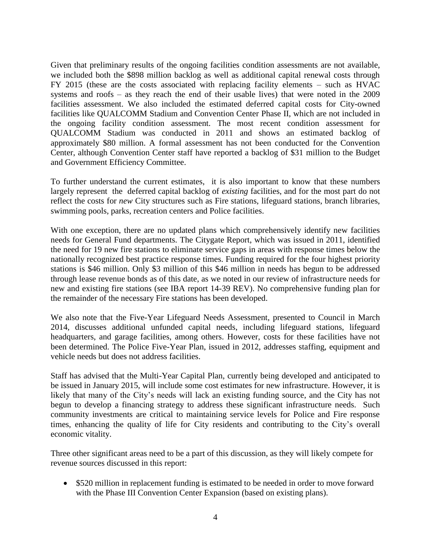Given that preliminary results of the ongoing facilities condition assessments are not available, we included both the \$898 million backlog as well as additional capital renewal costs through FY 2015 (these are the costs associated with replacing facility elements – such as HVAC systems and roofs – as they reach the end of their usable lives) that were noted in the 2009 facilities assessment. We also included the estimated deferred capital costs for City-owned facilities like QUALCOMM Stadium and Convention Center Phase II, which are not included in the ongoing facility condition assessment. The most recent condition assessment for QUALCOMM Stadium was conducted in 2011 and shows an estimated backlog of approximately \$80 million. A formal assessment has not been conducted for the Convention Center, although Convention Center staff have reported a backlog of \$31 million to the Budget and Government Efficiency Committee.

To further understand the current estimates, it is also important to know that these numbers largely represent the deferred capital backlog of *existing* facilities, and for the most part do not reflect the costs for *new* City structures such as Fire stations, lifeguard stations, branch libraries, swimming pools, parks, recreation centers and Police facilities.

With one exception, there are no updated plans which comprehensively identify new facilities needs for General Fund departments. The Citygate Report, which was issued in 2011, identified the need for 19 new fire stations to eliminate service gaps in areas with response times below the nationally recognized best practice response times. Funding required for the four highest priority stations is \$46 million. Only \$3 million of this \$46 million in needs has begun to be addressed through lease revenue bonds as of this date, as we noted in our review of infrastructure needs for new and existing fire stations (see IBA report 14-39 REV). No comprehensive funding plan for the remainder of the necessary Fire stations has been developed.

We also note that the Five-Year Lifeguard Needs Assessment, presented to Council in March 2014, discusses additional unfunded capital needs, including lifeguard stations, lifeguard headquarters, and garage facilities, among others. However, costs for these facilities have not been determined. The Police Five-Year Plan, issued in 2012, addresses staffing, equipment and vehicle needs but does not address facilities.

Staff has advised that the Multi-Year Capital Plan, currently being developed and anticipated to be issued in January 2015, will include some cost estimates for new infrastructure. However, it is likely that many of the City's needs will lack an existing funding source, and the City has not begun to develop a financing strategy to address these significant infrastructure needs. Such community investments are critical to maintaining service levels for Police and Fire response times, enhancing the quality of life for City residents and contributing to the City's overall economic vitality.

Three other significant areas need to be a part of this discussion, as they will likely compete for revenue sources discussed in this report:

• \$520 million in replacement funding is estimated to be needed in order to move forward with the Phase III Convention Center Expansion (based on existing plans).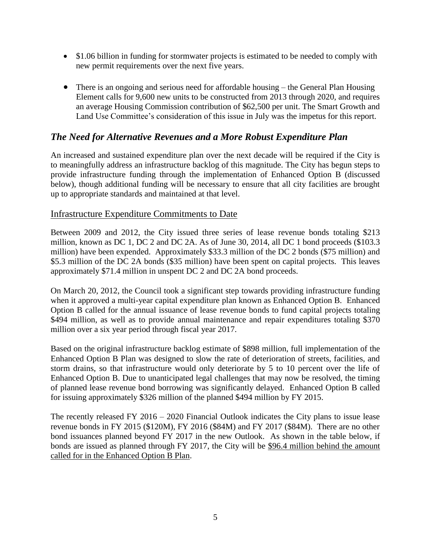- \$1.06 billion in funding for stormwater projects is estimated to be needed to comply with new permit requirements over the next five years.
- There is an ongoing and serious need for affordable housing the General Plan Housing Element calls for 9,600 new units to be constructed from 2013 through 2020, and requires an average Housing Commission contribution of \$62,500 per unit. The Smart Growth and Land Use Committee's consideration of this issue in July was the impetus for this report.

# *The Need for Alternative Revenues and a More Robust Expenditure Plan*

An increased and sustained expenditure plan over the next decade will be required if the City is to meaningfully address an infrastructure backlog of this magnitude. The City has begun steps to provide infrastructure funding through the implementation of Enhanced Option B (discussed below), though additional funding will be necessary to ensure that all city facilities are brought up to appropriate standards and maintained at that level.

#### Infrastructure Expenditure Commitments to Date

Between 2009 and 2012, the City issued three series of lease revenue bonds totaling \$213 million, known as DC 1, DC 2 and DC 2A. As of June 30, 2014, all DC 1 bond proceeds (\$103.3 million) have been expended. Approximately \$33.3 million of the DC 2 bonds (\$75 million) and \$5.3 million of the DC 2A bonds (\$35 million) have been spent on capital projects. This leaves approximately \$71.4 million in unspent DC 2 and DC 2A bond proceeds.

On March 20, 2012, the Council took a significant step towards providing infrastructure funding when it approved a multi-year capital expenditure plan known as Enhanced Option B. Enhanced Option B called for the annual issuance of lease revenue bonds to fund capital projects totaling \$494 million, as well as to provide annual maintenance and repair expenditures totaling \$370 million over a six year period through fiscal year 2017.

Based on the original infrastructure backlog estimate of \$898 million, full implementation of the Enhanced Option B Plan was designed to slow the rate of deterioration of streets, facilities, and storm drains, so that infrastructure would only deteriorate by 5 to 10 percent over the life of Enhanced Option B. Due to unanticipated legal challenges that may now be resolved, the timing of planned lease revenue bond borrowing was significantly delayed. Enhanced Option B called for issuing approximately \$326 million of the planned \$494 million by FY 2015.

The recently released FY 2016 – 2020 Financial Outlook indicates the City plans to issue lease revenue bonds in FY 2015 (\$120M), FY 2016 (\$84M) and FY 2017 (\$84M). There are no other bond issuances planned beyond FY 2017 in the new Outlook. As shown in the table below, if bonds are issued as planned through FY 2017, the City will be \$96.4 million behind the amount called for in the Enhanced Option B Plan.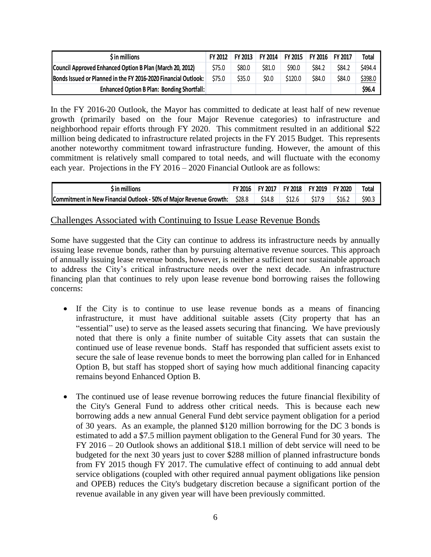| \$ in millions                                                 | FY 2012 | <b>FY 2013</b> | <b>FY 2014</b> | <b>FY 2015</b> | FY 2016 FY 2017 |        | Total   |
|----------------------------------------------------------------|---------|----------------|----------------|----------------|-----------------|--------|---------|
| Council Approved Enhanced Option B Plan (March 20, 2012)       | \$75.0  | \$80.0         | \$81.0         | \$90.0         | <b>\$84.2</b>   | \$84.2 | \$494.4 |
| Bonds Issued or Planned in the FY 2016-2020 Financial Outlook: | \$75.0  | \$35.0         | \$0.0          | \$120.0        | \$84.0          | \$84.0 | \$398.0 |
| <b>Enhanced Option B Plan: Bonding Shortfall:</b>              |         |                |                |                |                 |        | \$96.4  |

In the FY 2016-20 Outlook, the Mayor has committed to dedicate at least half of new revenue growth (primarily based on the four Major Revenue categories) to infrastructure and neighborhood repair efforts through FY 2020. This commitment resulted in an additional \$22 million being dedicated to infrastructure related projects in the FY 2015 Budget. This represents another noteworthy commitment toward infrastructure funding. However, the amount of this commitment is relatively small compared to total needs, and will fluctuate with the economy each year. Projections in the FY 2016 – 2020 Financial Outlook are as follows:

| $\mathfrak s$ in millions                                          | <b>FY 2016</b> | FY 2017 | <b>FY 2018</b> | FY 2019 FY 2020   |        | <b>Total</b> |
|--------------------------------------------------------------------|----------------|---------|----------------|-------------------|--------|--------------|
| Commitment in New Financial Outlook - 50% of Major Revenue Growth: | \$28.8         | \$14.8  | \$12.6         | S <sub>17.9</sub> | \$16.2 | \$90.3       |

#### Challenges Associated with Continuing to Issue Lease Revenue Bonds

Some have suggested that the City can continue to address its infrastructure needs by annually issuing lease revenue bonds, rather than by pursuing alternative revenue sources. This approach of annually issuing lease revenue bonds, however, is neither a sufficient nor sustainable approach to address the City's critical infrastructure needs over the next decade. An infrastructure financing plan that continues to rely upon lease revenue bond borrowing raises the following concerns:

- If the City is to continue to use lease revenue bonds as a means of financing infrastructure, it must have additional suitable assets (City property that has an "essential" use) to serve as the leased assets securing that financing. We have previously noted that there is only a finite number of suitable City assets that can sustain the continued use of lease revenue bonds. Staff has responded that sufficient assets exist to secure the sale of lease revenue bonds to meet the borrowing plan called for in Enhanced Option B, but staff has stopped short of saying how much additional financing capacity remains beyond Enhanced Option B.
- The continued use of lease revenue borrowing reduces the future financial flexibility of the City's General Fund to address other critical needs. This is because each new borrowing adds a new annual General Fund debt service payment obligation for a period of 30 years. As an example, the planned \$120 million borrowing for the DC 3 bonds is estimated to add a \$7.5 million payment obligation to the General Fund for 30 years. The FY 2016 – 20 Outlook shows an additional \$18.1 million of debt service will need to be budgeted for the next 30 years just to cover \$288 million of planned infrastructure bonds from FY 2015 though FY 2017. The cumulative effect of continuing to add annual debt service obligations (coupled with other required annual payment obligations like pension and OPEB) reduces the City's budgetary discretion because a significant portion of the revenue available in any given year will have been previously committed.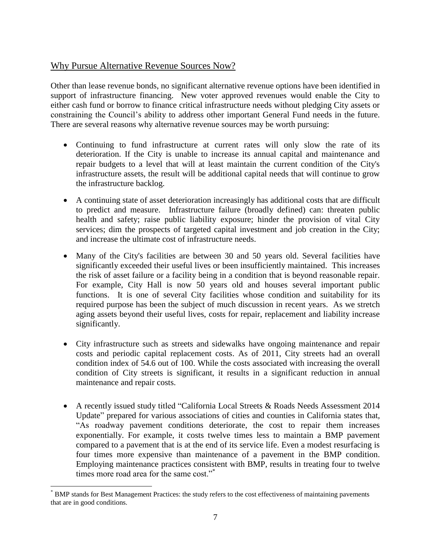## Why Pursue Alternative Revenue Sources Now?

Other than lease revenue bonds, no significant alternative revenue options have been identified in support of infrastructure financing. New voter approved revenues would enable the City to either cash fund or borrow to finance critical infrastructure needs without pledging City assets or constraining the Council's ability to address other important General Fund needs in the future. There are several reasons why alternative revenue sources may be worth pursuing:

- Continuing to fund infrastructure at current rates will only slow the rate of its deterioration. If the City is unable to increase its annual capital and maintenance and repair budgets to a level that will at least maintain the current condition of the City's infrastructure assets, the result will be additional capital needs that will continue to grow the infrastructure backlog.
- A continuing state of asset deterioration increasingly has additional costs that are difficult to predict and measure. Infrastructure failure (broadly defined) can: threaten public health and safety; raise public liability exposure; hinder the provision of vital City services; dim the prospects of targeted capital investment and job creation in the City; and increase the ultimate cost of infrastructure needs.
- Many of the City's facilities are between 30 and 50 years old. Several facilities have significantly exceeded their useful lives or been insufficiently maintained. This increases the risk of asset failure or a facility being in a condition that is beyond reasonable repair. For example, City Hall is now 50 years old and houses several important public functions. It is one of several City facilities whose condition and suitability for its required purpose has been the subject of much discussion in recent years. As we stretch aging assets beyond their useful lives, costs for repair, replacement and liability increase significantly.
- City infrastructure such as streets and sidewalks have ongoing maintenance and repair costs and periodic capital replacement costs. As of 2011, City streets had an overall condition index of 54.6 out of 100. While the costs associated with increasing the overall condition of City streets is significant, it results in a significant reduction in annual maintenance and repair costs.
- A recently issued study titled "California Local Streets & Roads Needs Assessment 2014 Update" prepared for various associations of cities and counties in California states that, "As roadway pavement conditions deteriorate, the cost to repair them increases exponentially. For example, it costs twelve times less to maintain a BMP pavement compared to a pavement that is at the end of its service life. Even a modest resurfacing is four times more expensive than maintenance of a pavement in the BMP condition. Employing maintenance practices consistent with BMP, results in treating four to twelve times more road area for the same cost."\*

 $\overline{a}$ 

<sup>\*</sup> BMP stands for Best Management Practices: the study refers to the cost effectiveness of maintaining pavements that are in good conditions.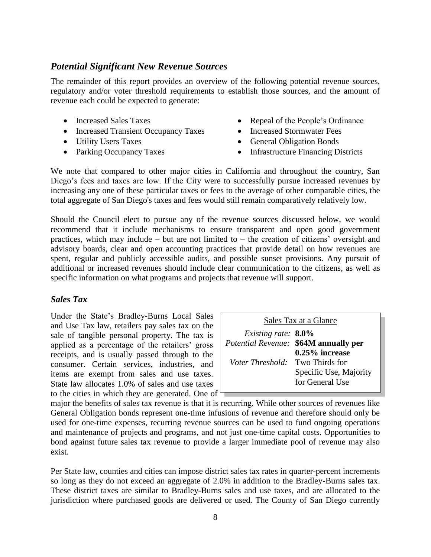# *Potential Significant New Revenue Sources*

The remainder of this report provides an overview of the following potential revenue sources, regulatory and/or voter threshold requirements to establish those sources, and the amount of revenue each could be expected to generate:

- Increased Sales Taxes
- Increased Transient Occupancy Taxes
- Utility Users Taxes
- Parking Occupancy Taxes
- Repeal of the People's Ordinance
- Increased Stormwater Fees
- General Obligation Bonds
- Infrastructure Financing Districts

We note that compared to other major cities in California and throughout the country, San Diego's fees and taxes are low. If the City were to successfully pursue increased revenues by increasing any one of these particular taxes or fees to the average of other comparable cities, the total aggregate of San Diego's taxes and fees would still remain comparatively relatively low.

Should the Council elect to pursue any of the revenue sources discussed below, we would recommend that it include mechanisms to ensure transparent and open good government practices, which may include – but are not limited to – the creation of citizens' oversight and advisory boards, clear and open accounting practices that provide detail on how revenues are spent, regular and publicly accessible audits, and possible sunset provisions. Any pursuit of additional or increased revenues should include clear communication to the citizens, as well as specific information on what programs and projects that revenue will support.

#### *Sales Tax*

Under the State's Bradley-Burns Local Sales and Use Tax law, retailers pay sales tax on the sale of tangible personal property. The tax is applied as a percentage of the retailers' gross receipts, and is usually passed through to the consumer. Certain services, industries, and items are exempt from sales and use taxes. State law allocates 1.0% of sales and use taxes to the cities in which they are generated. One of  $\overline{ }$ 

| Sales Tax at a Glance                   |                                       |  |
|-----------------------------------------|---------------------------------------|--|
| <i>Existing rate:</i> $8.0\%$           |                                       |  |
|                                         | Potential Revenue: \$64M annually per |  |
|                                         | $0.25\%$ increase                     |  |
| <i>Voter Threshold</i> : Two Thirds for |                                       |  |
|                                         | Specific Use, Majority                |  |
|                                         | for General Use                       |  |

major the benefits of sales tax revenue is that it is recurring. While other sources of revenues like General Obligation bonds represent one-time infusions of revenue and therefore should only be used for one-time expenses, recurring revenue sources can be used to fund ongoing operations and maintenance of projects and programs, and not just one-time capital costs. Opportunities to bond against future sales tax revenue to provide a larger immediate pool of revenue may also exist.

Per State law, counties and cities can impose district sales tax rates in quarter-percent increments so long as they do not exceed an aggregate of 2.0% in addition to the Bradley-Burns sales tax. These district taxes are similar to Bradley-Burns sales and use taxes, and are allocated to the jurisdiction where purchased goods are delivered or used. The County of San Diego currently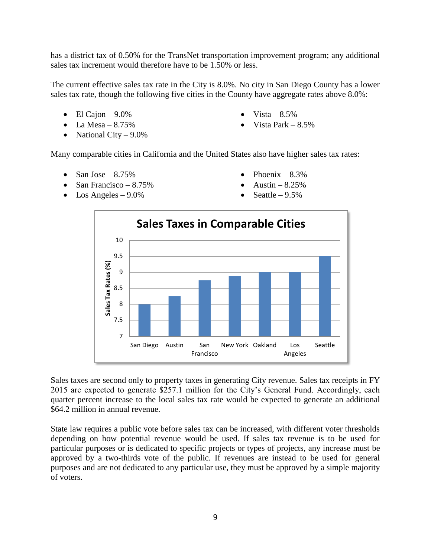has a district tax of 0.50% for the TransNet transportation improvement program; any additional sales tax increment would therefore have to be 1.50% or less.

The current effective sales tax rate in the City is 8.0%. No city in San Diego County has a lower sales tax rate, though the following five cities in the County have aggregate rates above 8.0%:

- $\bullet$  El Cajon 9.0%
- $\bullet$  La Mesa 8.75%
- National City  $9.0\%$
- Vista  $8.5\%$
- Vista Park 8.5%

Many comparable cities in California and the United States also have higher sales tax rates:

- $\bullet$  San Jose 8.75%
- San Francisco  $8.75\%$
- $\bullet$  Los Angeles 9.0%
- Phoenix  $-8.3%$
- Austin  $-8.25%$
- Seattle  $-9.5%$



Sales taxes are second only to property taxes in generating City revenue. Sales tax receipts in FY 2015 are expected to generate \$257.1 million for the City's General Fund. Accordingly, each quarter percent increase to the local sales tax rate would be expected to generate an additional \$64.2 million in annual revenue.

State law requires a public vote before sales tax can be increased, with different voter thresholds depending on how potential revenue would be used. If sales tax revenue is to be used for particular purposes or is dedicated to specific projects or types of projects, any increase must be approved by a two-thirds vote of the public. If revenues are instead to be used for general purposes and are not dedicated to any particular use, they must be approved by a simple majority of voters.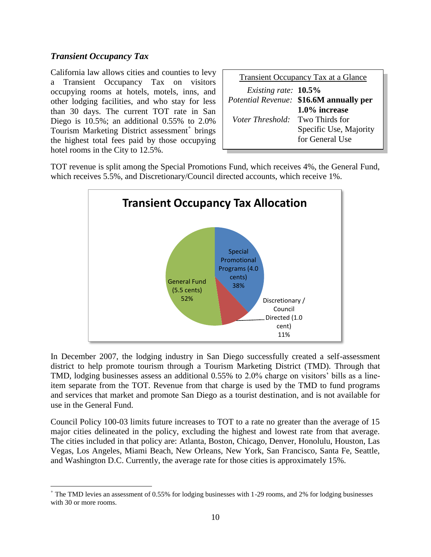#### *Transient Occupancy Tax*

 $\overline{a}$ 

California law allows cities and counties to levy a Transient Occupancy Tax on visitors occupying rooms at hotels, motels, inns, and other lodging facilities, and who stay for less than 30 days. The current TOT rate in San Diego is 10.5%; an additional 0.55% to 2.0% Tourism Marketing District assessment<sup>+</sup> brings the highest total fees paid by those occupying hotel rooms in the City to 12.5%.

|                                         | Transient Occupancy Tax at a Glance     |
|-----------------------------------------|-----------------------------------------|
| Existing rate: 10.5%                    |                                         |
|                                         | Potential Revenue: \$16.6M annually per |
|                                         | 1.0% increase                           |
| <i>Voter Threshold</i> : Two Thirds for |                                         |
|                                         | Specific Use, Majority                  |
|                                         | for General Use                         |

TOT revenue is split among the Special Promotions Fund, which receives 4%, the General Fund, which receives 5.5%, and Discretionary/Council directed accounts, which receive 1%.



In December 2007, the lodging industry in San Diego successfully created a self-assessment district to help promote tourism through a Tourism Marketing District (TMD). Through that TMD, lodging businesses assess an additional 0.55% to 2.0% charge on visitors' bills as a lineitem separate from the TOT. Revenue from that charge is used by the TMD to fund programs and services that market and promote San Diego as a tourist destination, and is not available for use in the General Fund.

Council Policy 100-03 limits future increases to TOT to a rate no greater than the average of 15 major cities delineated in the policy, excluding the highest and lowest rate from that average. The cities included in that policy are: Atlanta, Boston, Chicago, Denver, Honolulu, Houston, Las Vegas, Los Angeles, Miami Beach, New Orleans, New York, San Francisco, Santa Fe, Seattle, and Washington D.C. Currently, the average rate for those cities is approximately 15%.

<sup>+</sup> The TMD levies an assessment of 0.55% for lodging businesses with 1-29 rooms, and 2% for lodging businesses with 30 or more rooms.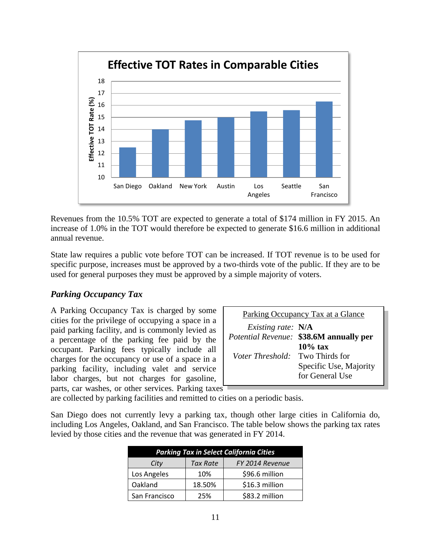

Revenues from the 10.5% TOT are expected to generate a total of \$174 million in FY 2015. An increase of 1.0% in the TOT would therefore be expected to generate \$16.6 million in additional annual revenue.

State law requires a public vote before TOT can be increased. If TOT revenue is to be used for specific purpose, increases must be approved by a two-thirds vote of the public. If they are to be used for general purposes they must be approved by a simple majority of voters.

#### *Parking Occupancy Tax*

A Parking Occupancy Tax is charged by some cities for the privilege of occupying a space in a paid parking facility, and is commonly levied as a percentage of the parking fee paid by the occupant. Parking fees typically include all charges for the occupancy or use of a space in a parking facility, including valet and service labor charges, but not charges for gasoline, parts, car washes, or other services. Parking taxes

| Parking Occupancy Tax at a Glance       |                                                |  |
|-----------------------------------------|------------------------------------------------|--|
| <i>Existing rate:</i> N/A               |                                                |  |
|                                         | <i>Potential Revenue:</i> \$38.6M annually per |  |
|                                         | $10\%$ tax                                     |  |
| <i>Voter Threshold</i> : Two Thirds for |                                                |  |
|                                         | Specific Use, Majority                         |  |
|                                         | for General Use                                |  |

are collected by parking facilities and remitted to cities on a periodic basis.

San Diego does not currently levy a parking tax, though other large cities in California do, including Los Angeles, Oakland, and San Francisco. The table below shows the parking tax rates levied by those cities and the revenue that was generated in FY 2014.

| <b>Parking Tax in Select California Cities</b> |          |                 |  |
|------------------------------------------------|----------|-----------------|--|
| City                                           | Tax Rate | FY 2014 Revenue |  |
| Los Angeles                                    | 10%      | \$96.6 million  |  |
| Oakland                                        | 18.50%   | \$16.3 million  |  |
| San Francisco                                  | 25%      | \$83.2 million  |  |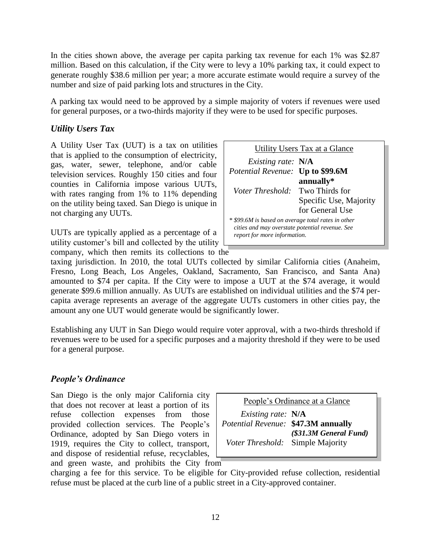In the cities shown above, the average per capita parking tax revenue for each 1% was \$2.87 million. Based on this calculation, if the City were to levy a 10% parking tax, it could expect to generate roughly \$38.6 million per year; a more accurate estimate would require a survey of the number and size of paid parking lots and structures in the City.

A parking tax would need to be approved by a simple majority of voters if revenues were used for general purposes, or a two-thirds majority if they were to be used for specific purposes.

# *Utility Users Tax*

A Utility User Tax (UUT) is a tax on utilities that is applied to the consumption of electricity, gas, water, sewer, telephone, and/or cable television services. Roughly 150 cities and four counties in California impose various UUTs, with rates ranging from 1% to 11% depending on the utility being taxed. San Diego is unique in not charging any UUTs.

UUTs are typically applied as a percentage of a utility customer's bill and collected by the utility company, which then remits its collections to the



taxing jurisdiction. In 2010, the total UUTs collected by similar California cities (Anaheim, Fresno, Long Beach, Los Angeles, Oakland, Sacramento, San Francisco, and Santa Ana) amounted to \$74 per capita. If the City were to impose a UUT at the \$74 average, it would generate \$99.6 million annually. As UUTs are established on individual utilities and the \$74 percapita average represents an average of the aggregate UUTs customers in other cities pay, the amount any one UUT would generate would be significantly lower.

Establishing any UUT in San Diego would require voter approval, with a two-thirds threshold if revenues were to be used for a specific purposes and a majority threshold if they were to be used for a general purpose.

# *People's Ordinance*

San Diego is the only major California city that does not recover at least a portion of its refuse collection expenses from those provided collection services. The People's Ordinance, adopted by San Diego voters in 1919, requires the City to collect, transport, and dispose of residential refuse, recyclables, and green waste, and prohibits the City from

People's Ordinance at a Glance  *Existing rate:* **N/A** *Potential Revenue:* **\$47.3M annually**  *(\$31.3M General Fund) Voter Threshold:* Simple Majority

charging a fee for this service. To be eligible for City-provided refuse collection, residential refuse must be placed at the curb line of a public street in a City-approved container.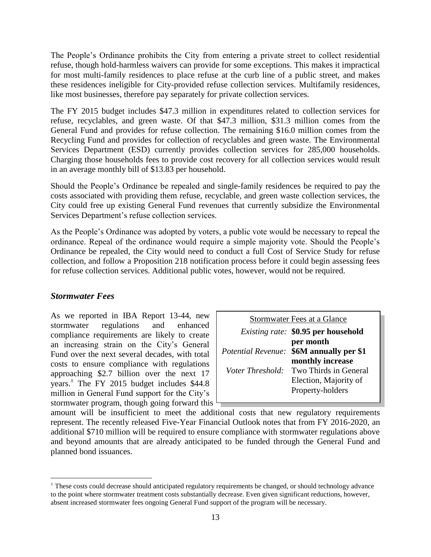The People's Ordinance prohibits the City from entering a private street to collect residential refuse, though hold-harmless waivers can provide for some exceptions. This makes it impractical for most multi-family residences to place refuse at the curb line of a public street, and makes these residences ineligible for City-provided refuse collection services. Multifamily residences, like most businesses, therefore pay separately for private collection services.

The FY 2015 budget includes \$47.3 million in expenditures related to collection services for refuse, recyclables, and green waste. Of that \$47.3 million, \$31.3 million comes from the General Fund and provides for refuse collection. The remaining \$16.0 million comes from the Recycling Fund and provides for collection of recyclables and green waste. The Environmental Services Department (ESD) currently provides collection services for 285,000 households. Charging those households fees to provide cost recovery for all collection services would result in an average monthly bill of \$13.83 per household.

Should the People's Ordinance be repealed and single-family residences be required to pay the costs associated with providing them refuse, recyclable, and green waste collection services, the City could free up existing General Fund revenues that currently subsidize the Environmental Services Department's refuse collection services.

As the People's Ordinance was adopted by voters, a public vote would be necessary to repeal the ordinance. Repeal of the ordinance would require a simple majority vote. Should the People's Ordinance be repealed, the City would need to conduct a full Cost of Service Study for refuse collection, and follow a Proposition 218 notification process before it could begin assessing fees for refuse collection services. Additional public votes, however, would not be required.

#### *Stormwater Fees*

 $\overline{a}$ 

As we reported in IBA Report 13-44, new stormwater regulations and enhanced compliance requirements are likely to create an increasing strain on the City's General Fund over the next several decades, with total costs to ensure compliance with regulations approaching \$2.7 billion over the next 17 years.<sup> $\pm$ </sup> The FY 2015 budget includes \$44.8 million in General Fund support for the City's stormwater program, though going forward this

|                  | Stormwater Fees at a Glance                                                      |
|------------------|----------------------------------------------------------------------------------|
|                  | <i>Existing rate:</i> \$0.95 per household                                       |
|                  | per month<br><i>Potential Revenue:</i> \$6M annually per \$1<br>monthly increase |
| Voter Threshold: | Two Thirds in General<br>Election, Majority of<br>Property-holders               |

amount will be insufficient to meet the additional costs that new regulatory requirements represent. The recently released Five-Year Financial Outlook notes that from FY 2016-2020, an additional \$710 million will be required to ensure compliance with stormwater regulations above and beyond amounts that are already anticipated to be funded through the General Fund and planned bond issuances.

<sup>±</sup> These costs could decrease should anticipated regulatory requirements be changed, or should technology advance to the point where stormwater treatment costs substantially decrease. Even given significant reductions, however, absent increased stormwater fees ongoing General Fund support of the program will be necessary.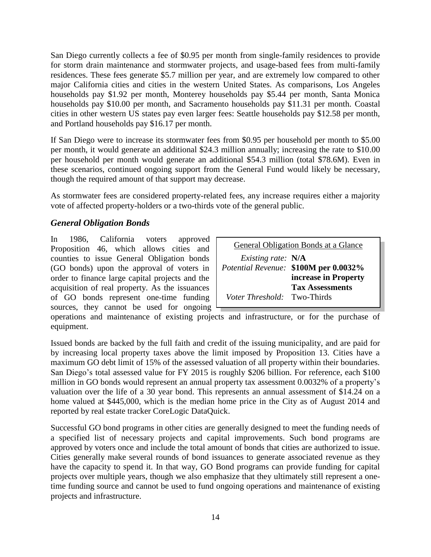San Diego currently collects a fee of \$0.95 per month from single-family residences to provide for storm drain maintenance and stormwater projects, and usage-based fees from multi-family residences. These fees generate \$5.7 million per year, and are extremely low compared to other major California cities and cities in the western United States. As comparisons, Los Angeles households pay \$1.92 per month, Monterey households pay \$5.44 per month, Santa Monica households pay \$10.00 per month, and Sacramento households pay \$11.31 per month. Coastal cities in other western US states pay even larger fees: Seattle households pay \$12.58 per month, and Portland households pay \$16.17 per month.

If San Diego were to increase its stormwater fees from \$0.95 per household per month to \$5.00 per month, it would generate an additional \$24.3 million annually; increasing the rate to \$10.00 per household per month would generate an additional \$54.3 million (total \$78.6M). Even in these scenarios, continued ongoing support from the General Fund would likely be necessary, though the required amount of that support may decrease.

As stormwater fees are considered property-related fees, any increase requires either a majority vote of affected property-holders or a two-thirds vote of the general public.

# *General Obligation Bonds*

In 1986, California voters approved Proposition 46, which allows cities and counties to issue General Obligation bonds (GO bonds) upon the approval of voters in order to finance large capital projects and the acquisition of real property. As the issuances of GO bonds represent one-time funding sources, they cannot be used for ongoing

| General Obligation Bonds at a Glance |                                       |  |
|--------------------------------------|---------------------------------------|--|
| <i>Existing rate:</i> N/A            |                                       |  |
|                                      | Potential Revenue: \$100M per 0.0032% |  |
|                                      | increase in Property                  |  |
|                                      | <b>Tax Assessments</b>                |  |
| <i>Voter Threshold:</i> Two-Thirds   |                                       |  |

operations and maintenance of existing projects and infrastructure, or for the purchase of equipment.

Issued bonds are backed by the full faith and credit of the issuing municipality, and are paid for by increasing local property taxes above the limit imposed by Proposition 13. Cities have a maximum GO debt limit of 15% of the assessed valuation of all property within their boundaries. San Diego's total assessed value for FY 2015 is roughly \$206 billion. For reference, each \$100 million in GO bonds would represent an annual property tax assessment 0.0032% of a property's valuation over the life of a 30 year bond. This represents an annual assessment of \$14.24 on a home valued at \$445,000, which is the median home price in the City as of August 2014 and reported by real estate tracker CoreLogic DataQuick.

Successful GO bond programs in other cities are generally designed to meet the funding needs of a specified list of necessary projects and capital improvements. Such bond programs are approved by voters once and include the total amount of bonds that cities are authorized to issue. Cities generally make several rounds of bond issuances to generate associated revenue as they have the capacity to spend it. In that way, GO Bond programs can provide funding for capital projects over multiple years, though we also emphasize that they ultimately still represent a onetime funding source and cannot be used to fund ongoing operations and maintenance of existing projects and infrastructure.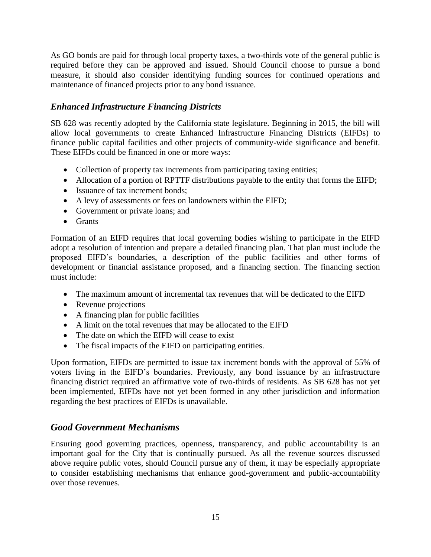As GO bonds are paid for through local property taxes, a two-thirds vote of the general public is required before they can be approved and issued. Should Council choose to pursue a bond measure, it should also consider identifying funding sources for continued operations and maintenance of financed projects prior to any bond issuance.

#### *Enhanced Infrastructure Financing Districts*

SB 628 was recently adopted by the California state legislature. Beginning in 2015, the bill will allow local governments to create Enhanced Infrastructure Financing Districts (EIFDs) to finance public capital facilities and other projects of community-wide significance and benefit. These EIFDs could be financed in one or more ways:

- Collection of property tax increments from participating taxing entities;
- Allocation of a portion of RPTTF distributions payable to the entity that forms the EIFD;
- Issuance of tax increment bonds:
- A levy of assessments or fees on landowners within the EIFD;
- Government or private loans; and
- Grants

Formation of an EIFD requires that local governing bodies wishing to participate in the EIFD adopt a resolution of intention and prepare a detailed financing plan. That plan must include the proposed EIFD's boundaries, a description of the public facilities and other forms of development or financial assistance proposed, and a financing section. The financing section must include:

- The maximum amount of incremental tax revenues that will be dedicated to the EIFD
- Revenue projections
- A financing plan for public facilities
- A limit on the total revenues that may be allocated to the EIFD
- The date on which the EIFD will cease to exist
- The fiscal impacts of the EIFD on participating entities.

Upon formation, EIFDs are permitted to issue tax increment bonds with the approval of 55% of voters living in the EIFD's boundaries. Previously, any bond issuance by an infrastructure financing district required an affirmative vote of two-thirds of residents. As SB 628 has not yet been implemented, EIFDs have not yet been formed in any other jurisdiction and information regarding the best practices of EIFDs is unavailable.

# *Good Government Mechanisms*

Ensuring good governing practices, openness, transparency, and public accountability is an important goal for the City that is continually pursued. As all the revenue sources discussed above require public votes, should Council pursue any of them, it may be especially appropriate to consider establishing mechanisms that enhance good-government and public-accountability over those revenues.